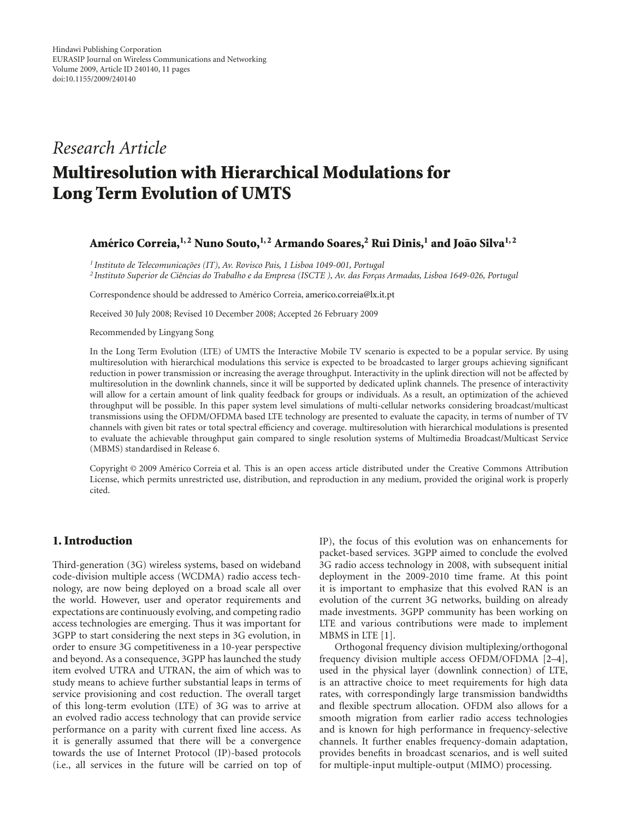# *Research Article*

# **Multiresolution with Hierarchical Modulations for Long Term Evolution of UMTS**

#### Américo Correia,<sup>1,2</sup> Nuno Souto,<sup>1,2</sup> Armando Soares,<sup>2</sup> Rui Dinis,<sup>1</sup> and João Silva<sup>1,2</sup>

<sup>1</sup> Instituto de Telecomunicações (IT), Av. Rovisco Pais, 1 Lisboa 1049-001, Portugal <sup>2</sup> Instituto Superior de Ciências do Trabalho e da Empresa (ISCTE), Av. das Forças Armadas, Lisboa 1649-026, Portugal

Correspondence should be addressed to Américo Correia, americo.correia@lx.it.pt

Received 30 July 2008; Revised 10 December 2008; Accepted 26 February 2009

Recommended by Lingyang Song

In the Long Term Evolution (LTE) of UMTS the Interactive Mobile TV scenario is expected to be a popular service. By using multiresolution with hierarchical modulations this service is expected to be broadcasted to larger groups achieving significant reduction in power transmission or increasing the average throughput. Interactivity in the uplink direction will not be affected by multiresolution in the downlink channels, since it will be supported by dedicated uplink channels. The presence of interactivity will allow for a certain amount of link quality feedback for groups or individuals. As a result, an optimization of the achieved throughput will be possible. In this paper system level simulations of multi-cellular networks considering broadcast/multicast transmissions using the OFDM/OFDMA based LTE technology are presented to evaluate the capacity, in terms of number of TV channels with given bit rates or total spectral efficiency and coverage. multiresolution with hierarchical modulations is presented to evaluate the achievable throughput gain compared to single resolution systems of Multimedia Broadcast/Multicast Service (MBMS) standardised in Release 6.

Copyright © 2009 Americo Correia et al. This is an open access article distributed under the Creative Commons Attribution ´ License, which permits unrestricted use, distribution, and reproduction in any medium, provided the original work is properly cited.

## **1. Introduction**

Third-generation (3G) wireless systems, based on wideband code-division multiple access (WCDMA) radio access technology, are now being deployed on a broad scale all over the world. However, user and operator requirements and expectations are continuously evolving, and competing radio access technologies are emerging. Thus it was important for 3GPP to start considering the next steps in 3G evolution, in order to ensure 3G competitiveness in a 10-year perspective and beyond. As a consequence, 3GPP has launched the study item evolved UTRA and UTRAN, the aim of which was to study means to achieve further substantial leaps in terms of service provisioning and cost reduction. The overall target of this long-term evolution (LTE) of 3G was to arrive at an evolved radio access technology that can provide service performance on a parity with current fixed line access. As it is generally assumed that there will be a convergence towards the use of Internet Protocol (IP)-based protocols (i.e., all services in the future will be carried on top of

IP), the focus of this evolution was on enhancements for packet-based services. 3GPP aimed to conclude the evolved 3G radio access technology in 2008, with subsequent initial deployment in the 2009-2010 time frame. At this point it is important to emphasize that this evolved RAN is an evolution of the current 3G networks, building on already made investments. 3GPP community has been working on LTE and various contributions were made to implement MBMS in LTE [1].

Orthogonal frequency division multiplexing/orthogonal frequency division multiple access OFDM/OFDMA [2–4], used in the physical layer (downlink connection) of LTE, is an attractive choice to meet requirements for high data rates, with correspondingly large transmission bandwidths and flexible spectrum allocation. OFDM also allows for a smooth migration from earlier radio access technologies and is known for high performance in frequency-selective channels. It further enables frequency-domain adaptation, provides benefits in broadcast scenarios, and is well suited for multiple-input multiple-output (MIMO) processing.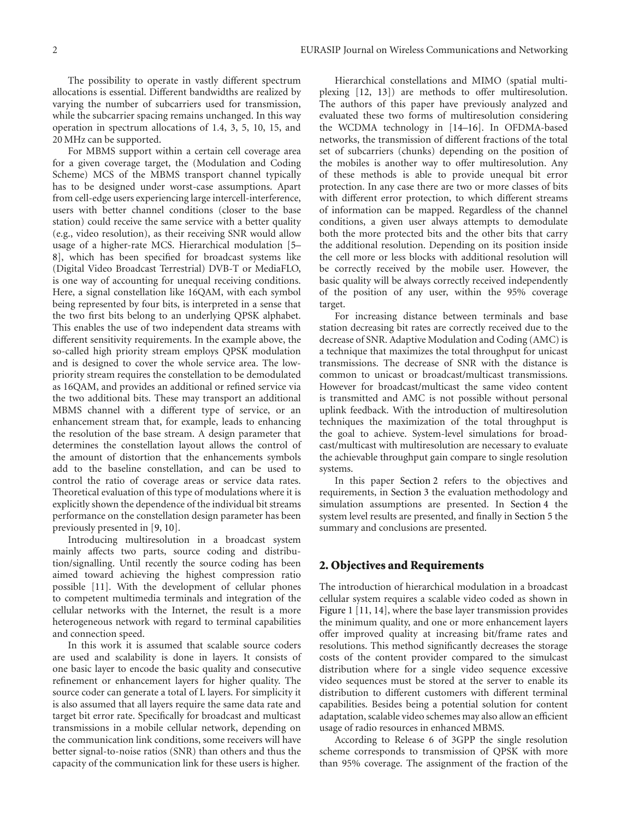The possibility to operate in vastly different spectrum allocations is essential. Different bandwidths are realized by varying the number of subcarriers used for transmission, while the subcarrier spacing remains unchanged. In this way operation in spectrum allocations of 1.4, 3, 5, 10, 15, and 20 MHz can be supported.

For MBMS support within a certain cell coverage area for a given coverage target, the (Modulation and Coding Scheme) MCS of the MBMS transport channel typically has to be designed under worst-case assumptions. Apart from cell-edge users experiencing large intercell-interference, users with better channel conditions (closer to the base station) could receive the same service with a better quality (e.g., video resolution), as their receiving SNR would allow usage of a higher-rate MCS. Hierarchical modulation [5– 8], which has been specified for broadcast systems like (Digital Video Broadcast Terrestrial) DVB-T or MediaFLO, is one way of accounting for unequal receiving conditions. Here, a signal constellation like 16QAM, with each symbol being represented by four bits, is interpreted in a sense that the two first bits belong to an underlying QPSK alphabet. This enables the use of two independent data streams with different sensitivity requirements. In the example above, the so-called high priority stream employs QPSK modulation and is designed to cover the whole service area. The lowpriority stream requires the constellation to be demodulated as 16QAM, and provides an additional or refined service via the two additional bits. These may transport an additional MBMS channel with a different type of service, or an enhancement stream that, for example, leads to enhancing the resolution of the base stream. A design parameter that determines the constellation layout allows the control of the amount of distortion that the enhancements symbols add to the baseline constellation, and can be used to control the ratio of coverage areas or service data rates. Theoretical evaluation of this type of modulations where it is explicitly shown the dependence of the individual bit streams performance on the constellation design parameter has been previously presented in [9, 10].

Introducing multiresolution in a broadcast system mainly affects two parts, source coding and distribution/signalling. Until recently the source coding has been aimed toward achieving the highest compression ratio possible [11]. With the development of cellular phones to competent multimedia terminals and integration of the cellular networks with the Internet, the result is a more heterogeneous network with regard to terminal capabilities and connection speed.

In this work it is assumed that scalable source coders are used and scalability is done in layers. It consists of one basic layer to encode the basic quality and consecutive refinement or enhancement layers for higher quality. The source coder can generate a total of L layers. For simplicity it is also assumed that all layers require the same data rate and target bit error rate. Specifically for broadcast and multicast transmissions in a mobile cellular network, depending on the communication link conditions, some receivers will have better signal-to-noise ratios (SNR) than others and thus the capacity of the communication link for these users is higher.

Hierarchical constellations and MIMO (spatial multiplexing [12, 13]) are methods to offer multiresolution. The authors of this paper have previously analyzed and evaluated these two forms of multiresolution considering the WCDMA technology in [14–16]. In OFDMA-based networks, the transmission of different fractions of the total set of subcarriers (chunks) depending on the position of the mobiles is another way to offer multiresolution. Any of these methods is able to provide unequal bit error protection. In any case there are two or more classes of bits with different error protection, to which different streams of information can be mapped. Regardless of the channel conditions, a given user always attempts to demodulate both the more protected bits and the other bits that carry the additional resolution. Depending on its position inside the cell more or less blocks with additional resolution will be correctly received by the mobile user. However, the basic quality will be always correctly received independently of the position of any user, within the 95% coverage target.

For increasing distance between terminals and base station decreasing bit rates are correctly received due to the decrease of SNR. Adaptive Modulation and Coding (AMC) is a technique that maximizes the total throughput for unicast transmissions. The decrease of SNR with the distance is common to unicast or broadcast/multicast transmissions. However for broadcast/multicast the same video content is transmitted and AMC is not possible without personal uplink feedback. With the introduction of multiresolution techniques the maximization of the total throughput is the goal to achieve. System-level simulations for broadcast/multicast with multiresolution are necessary to evaluate the achievable throughput gain compare to single resolution systems.

In this paper Section 2 refers to the objectives and requirements, in Section 3 the evaluation methodology and simulation assumptions are presented. In Section 4 the system level results are presented, and finally in Section 5 the summary and conclusions are presented.

#### **2. Objectives and Requirements**

The introduction of hierarchical modulation in a broadcast cellular system requires a scalable video coded as shown in Figure 1 [11, 14], where the base layer transmission provides the minimum quality, and one or more enhancement layers offer improved quality at increasing bit/frame rates and resolutions. This method significantly decreases the storage costs of the content provider compared to the simulcast distribution where for a single video sequence excessive video sequences must be stored at the server to enable its distribution to different customers with different terminal capabilities. Besides being a potential solution for content adaptation, scalable video schemes may also allow an efficient usage of radio resources in enhanced MBMS.

According to Release 6 of 3GPP the single resolution scheme corresponds to transmission of QPSK with more than 95% coverage. The assignment of the fraction of the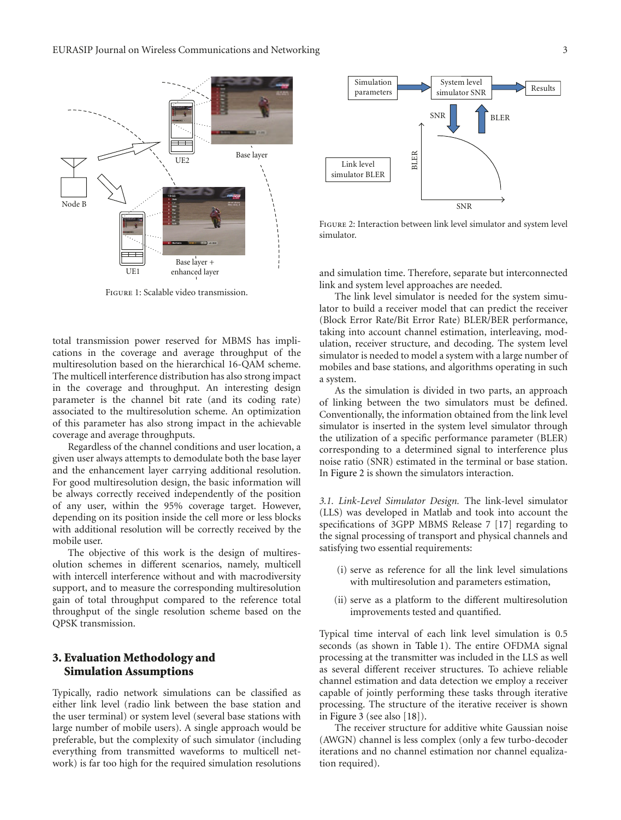

Figure 1: Scalable video transmission.

total transmission power reserved for MBMS has implications in the coverage and average throughput of the multiresolution based on the hierarchical 16-QAM scheme. The multicell interference distribution has also strong impact in the coverage and throughput. An interesting design parameter is the channel bit rate (and its coding rate) associated to the multiresolution scheme. An optimization of this parameter has also strong impact in the achievable coverage and average throughputs.

Regardless of the channel conditions and user location, a given user always attempts to demodulate both the base layer and the enhancement layer carrying additional resolution. For good multiresolution design, the basic information will be always correctly received independently of the position of any user, within the 95% coverage target. However, depending on its position inside the cell more or less blocks with additional resolution will be correctly received by the mobile user.

The objective of this work is the design of multiresolution schemes in different scenarios, namely, multicell with intercell interference without and with macrodiversity support, and to measure the corresponding multiresolution gain of total throughput compared to the reference total throughput of the single resolution scheme based on the QPSK transmission.

## **3. Evaluation Methodology and Simulation Assumptions**

Typically, radio network simulations can be classified as either link level (radio link between the base station and the user terminal) or system level (several base stations with large number of mobile users). A single approach would be preferable, but the complexity of such simulator (including everything from transmitted waveforms to multicell network) is far too high for the required simulation resolutions



Figure 2: Interaction between link level simulator and system level simulator.

and simulation time. Therefore, separate but interconnected link and system level approaches are needed.

The link level simulator is needed for the system simulator to build a receiver model that can predict the receiver (Block Error Rate/Bit Error Rate) BLER/BER performance, taking into account channel estimation, interleaving, modulation, receiver structure, and decoding. The system level simulator is needed to model a system with a large number of mobiles and base stations, and algorithms operating in such a system.

As the simulation is divided in two parts, an approach of linking between the two simulators must be defined. Conventionally, the information obtained from the link level simulator is inserted in the system level simulator through the utilization of a specific performance parameter (BLER) corresponding to a determined signal to interference plus noise ratio (SNR) estimated in the terminal or base station. In Figure 2 is shown the simulators interaction.

*3.1. Link-Level Simulator Design.* The link-level simulator (LLS) was developed in Matlab and took into account the specifications of 3GPP MBMS Release 7 [17] regarding to the signal processing of transport and physical channels and satisfying two essential requirements:

- (i) serve as reference for all the link level simulations with multiresolution and parameters estimation,
- (ii) serve as a platform to the different multiresolution improvements tested and quantified.

Typical time interval of each link level simulation is 0.5 seconds (as shown in Table 1). The entire OFDMA signal processing at the transmitter was included in the LLS as well as several different receiver structures. To achieve reliable channel estimation and data detection we employ a receiver capable of jointly performing these tasks through iterative processing. The structure of the iterative receiver is shown in Figure 3 (see also [18]).

The receiver structure for additive white Gaussian noise (AWGN) channel is less complex (only a few turbo-decoder iterations and no channel estimation nor channel equalization required).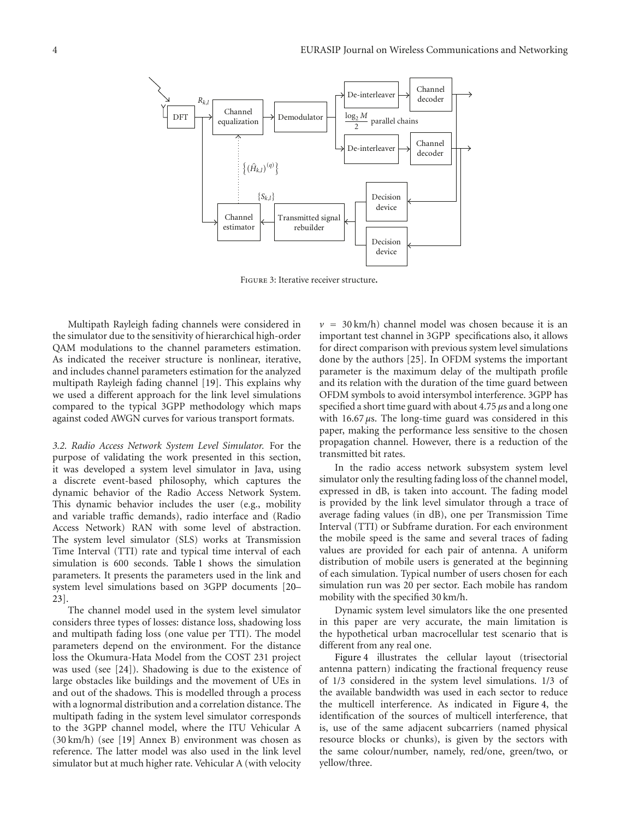

Figure 3: Iterative receiver structure**.**

Multipath Rayleigh fading channels were considered in the simulator due to the sensitivity of hierarchical high-order QAM modulations to the channel parameters estimation. As indicated the receiver structure is nonlinear, iterative, and includes channel parameters estimation for the analyzed multipath Rayleigh fading channel [19]. This explains why we used a different approach for the link level simulations compared to the typical 3GPP methodology which maps against coded AWGN curves for various transport formats.

*3.2. Radio Access Network System Level Simulator.* For the purpose of validating the work presented in this section, it was developed a system level simulator in Java, using a discrete event-based philosophy, which captures the dynamic behavior of the Radio Access Network System. This dynamic behavior includes the user (e.g., mobility and variable traffic demands), radio interface and (Radio Access Network) RAN with some level of abstraction. The system level simulator (SLS) works at Transmission Time Interval (TTI) rate and typical time interval of each simulation is 600 seconds. Table 1 shows the simulation parameters. It presents the parameters used in the link and system level simulations based on 3GPP documents [20– 23].

The channel model used in the system level simulator considers three types of losses: distance loss, shadowing loss and multipath fading loss (one value per TTI). The model parameters depend on the environment. For the distance loss the Okumura-Hata Model from the COST 231 project was used (see [24]). Shadowing is due to the existence of large obstacles like buildings and the movement of UEs in and out of the shadows. This is modelled through a process with a lognormal distribution and a correlation distance. The multipath fading in the system level simulator corresponds to the 3GPP channel model, where the ITU Vehicular A (30 km/h) (see [19] Annex B) environment was chosen as reference. The latter model was also used in the link level simulator but at much higher rate. Vehicular A (with velocity

 $v = 30 \text{ km/h}$ ) channel model was chosen because it is an important test channel in 3GPP specifications also, it allows for direct comparison with previous system level simulations done by the authors [25]. In OFDM systems the important parameter is the maximum delay of the multipath profile and its relation with the duration of the time guard between OFDM symbols to avoid intersymbol interference. 3GPP has specified a short time guard with about 4.75 *μ*s and a long one with  $16.67 \mu s$ . The long-time guard was considered in this paper, making the performance less sensitive to the chosen propagation channel. However, there is a reduction of the transmitted bit rates.

In the radio access network subsystem system level simulator only the resulting fading loss of the channel model, expressed in dB, is taken into account. The fading model is provided by the link level simulator through a trace of average fading values (in dB), one per Transmission Time Interval (TTI) or Subframe duration. For each environment the mobile speed is the same and several traces of fading values are provided for each pair of antenna. A uniform distribution of mobile users is generated at the beginning of each simulation. Typical number of users chosen for each simulation run was 20 per sector. Each mobile has random mobility with the specified 30 km/h.

Dynamic system level simulators like the one presented in this paper are very accurate, the main limitation is the hypothetical urban macrocellular test scenario that is different from any real one.

Figure 4 illustrates the cellular layout (trisectorial antenna pattern) indicating the fractional frequency reuse of 1/3 considered in the system level simulations. 1/3 of the available bandwidth was used in each sector to reduce the multicell interference. As indicated in Figure 4, the identification of the sources of multicell interference, that is, use of the same adjacent subcarriers (named physical resource blocks or chunks), is given by the sectors with the same colour/number, namely, red/one, green/two, or yellow/three.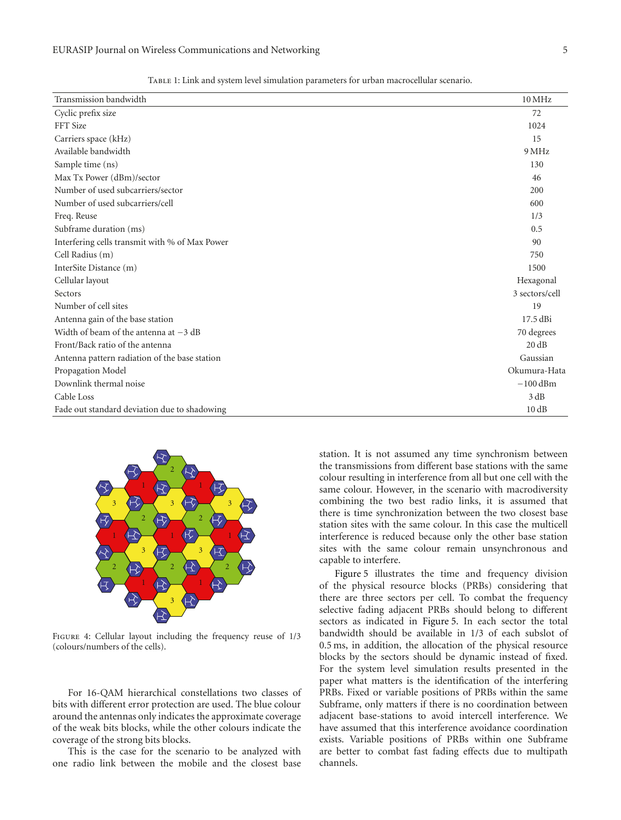| Transmission bandwidth                         | $10\,\mathrm{MHz}$ |
|------------------------------------------------|--------------------|
| Cyclic prefix size                             | 72                 |
| FFT Size                                       | 1024               |
| Carriers space (kHz)                           | 15                 |
| Available bandwidth                            | 9 MHz              |
| Sample time (ns)                               | 130                |
| Max Tx Power (dBm)/sector                      | 46                 |
| Number of used subcarriers/sector              | 200                |
| Number of used subcarriers/cell                | 600                |
| Freq. Reuse                                    | 1/3                |
| Subframe duration (ms)                         | 0.5                |
| Interfering cells transmit with % of Max Power | 90                 |
| Cell Radius (m)                                | 750                |
| InterSite Distance (m)                         | 1500               |
| Cellular layout                                | Hexagonal          |
| Sectors                                        | 3 sectors/cell     |
| Number of cell sites                           | 19                 |
| Antenna gain of the base station               | 17.5 dBi           |
| Width of beam of the antenna at $-3$ dB        | 70 degrees         |
| Front/Back ratio of the antenna                | 20 dB              |
| Antenna pattern radiation of the base station  | Gaussian           |
| Propagation Model                              | Okumura-Hata       |
| Downlink thermal noise                         | $-100$ dBm         |
| Cable Loss                                     | 3 dB               |
| Fade out standard deviation due to shadowing   | 10dB               |

Table 1: Link and system level simulation parameters for urban macrocellular scenario.



Figure 4: Cellular layout including the frequency reuse of 1/3 (colours/numbers of the cells).

For 16-QAM hierarchical constellations two classes of bits with different error protection are used. The blue colour around the antennas only indicates the approximate coverage of the weak bits blocks, while the other colours indicate the coverage of the strong bits blocks.

This is the case for the scenario to be analyzed with one radio link between the mobile and the closest base station. It is not assumed any time synchronism between the transmissions from different base stations with the same colour resulting in interference from all but one cell with the same colour. However, in the scenario with macrodiversity combining the two best radio links, it is assumed that there is time synchronization between the two closest base station sites with the same colour. In this case the multicell interference is reduced because only the other base station sites with the same colour remain unsynchronous and capable to interfere.

Figure 5 illustrates the time and frequency division of the physical resource blocks (PRBs) considering that there are three sectors per cell. To combat the frequency selective fading adjacent PRBs should belong to different sectors as indicated in Figure 5. In each sector the total bandwidth should be available in 1/3 of each subslot of 0.5 ms, in addition, the allocation of the physical resource blocks by the sectors should be dynamic instead of fixed. For the system level simulation results presented in the paper what matters is the identification of the interfering PRBs. Fixed or variable positions of PRBs within the same Subframe, only matters if there is no coordination between adjacent base-stations to avoid intercell interference. We have assumed that this interference avoidance coordination exists. Variable positions of PRBs within one Subframe are better to combat fast fading effects due to multipath channels.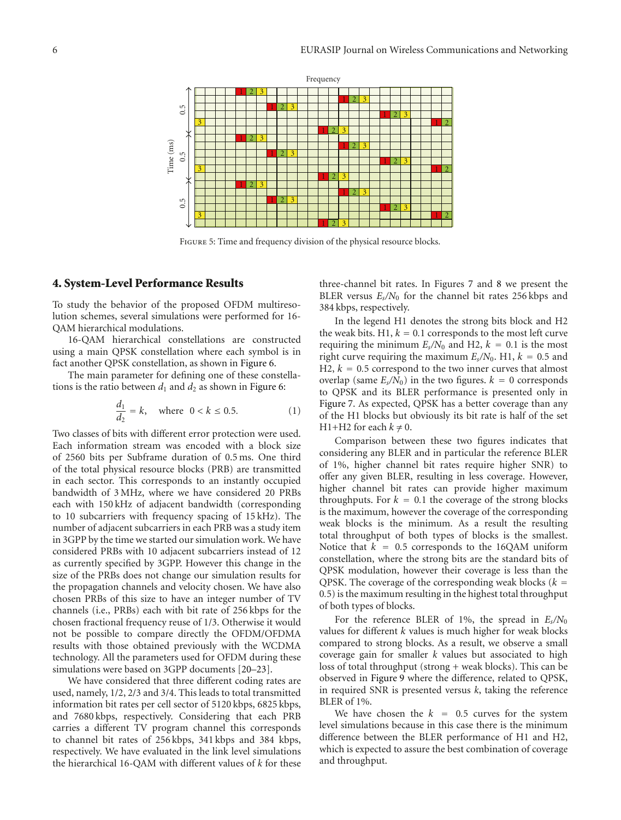

Figure 5: Time and frequency division of the physical resource blocks.

#### **4. System-Level Performance Results**

To study the behavior of the proposed OFDM multiresolution schemes, several simulations were performed for 16- QAM hierarchical modulations.

16-QAM hierarchical constellations are constructed using a main QPSK constellation where each symbol is in fact another QPSK constellation, as shown in Figure 6.

The main parameter for defining one of these constellations is the ratio between  $d_1$  and  $d_2$  as shown in Figure 6:

$$
\frac{d_1}{d_2} = k, \text{ where } 0 < k \le 0.5. \tag{1}
$$

Two classes of bits with different error protection were used. Each information stream was encoded with a block size of 2560 bits per Subframe duration of 0.5 ms. One third of the total physical resource blocks (PRB) are transmitted in each sector. This corresponds to an instantly occupied bandwidth of 3 MHz, where we have considered 20 PRBs each with 150 kHz of adjacent bandwidth (corresponding to 10 subcarriers with frequency spacing of 15 kHz). The number of adjacent subcarriers in each PRB was a study item in 3GPP by the time we started our simulation work. We have considered PRBs with 10 adjacent subcarriers instead of 12 as currently specified by 3GPP. However this change in the size of the PRBs does not change our simulation results for the propagation channels and velocity chosen. We have also chosen PRBs of this size to have an integer number of TV channels (i.e., PRBs) each with bit rate of 256 kbps for the chosen fractional frequency reuse of 1/3. Otherwise it would not be possible to compare directly the OFDM/OFDMA results with those obtained previously with the WCDMA technology. All the parameters used for OFDM during these simulations were based on 3GPP documents [20–23].

We have considered that three different coding rates are used, namely, 1/2, 2/3 and 3/4. This leads to total transmitted information bit rates per cell sector of 5120 kbps, 6825 kbps, and 7680 kbps, respectively. Considering that each PRB carries a different TV program channel this corresponds to channel bit rates of 256 kbps, 341 kbps and 384 kbps, respectively. We have evaluated in the link level simulations the hierarchical 16-QAM with different values of *k* for these

three-channel bit rates. In Figures 7 and 8 we present the BLER versus  $E_s/N_0$  for the channel bit rates 256 kbps and 384 kbps, respectively.

In the legend H1 denotes the strong bits block and H2 the weak bits.  $H1, k = 0.1$  corresponds to the most left curve requiring the minimum  $E_s/N_0$  and H2,  $k = 0.1$  is the most right curve requiring the maximum  $E_s/N_0$ . H1,  $k = 0.5$  and  $H2, k = 0.5$  correspond to the two inner curves that almost overlap (same  $E_s/N_0$ ) in the two figures.  $k = 0$  corresponds to QPSK and its BLER performance is presented only in Figure 7. As expected, QPSK has a better coverage than any of the H1 blocks but obviously its bit rate is half of the set H1+H2 for each  $k \neq 0$ .

Comparison between these two figures indicates that considering any BLER and in particular the reference BLER of 1%, higher channel bit rates require higher SNR) to offer any given BLER, resulting in less coverage. However, higher channel bit rates can provide higher maximum throughputs. For  $k = 0.1$  the coverage of the strong blocks is the maximum, however the coverage of the corresponding weak blocks is the minimum. As a result the resulting total throughput of both types of blocks is the smallest. Notice that  $k = 0.5$  corresponds to the 16QAM uniform constellation, where the strong bits are the standard bits of QPSK modulation, however their coverage is less than the QPSK. The coverage of the corresponding weak blocks  $(k =$ 0*.*5) is the maximum resulting in the highest total throughput of both types of blocks.

For the reference BLER of 1%, the spread in *Es/N*<sup>0</sup> values for different *k* values is much higher for weak blocks compared to strong blocks. As a result, we observe a small coverage gain for smaller *k* values but associated to high loss of total throughput (strong + weak blocks). This can be observed in Figure 9 where the difference, related to QPSK, in required SNR is presented versus *k*, taking the reference BLER of 1%.

We have chosen the  $k = 0.5$  curves for the system level simulations because in this case there is the minimum difference between the BLER performance of H1 and H2, which is expected to assure the best combination of coverage and throughput.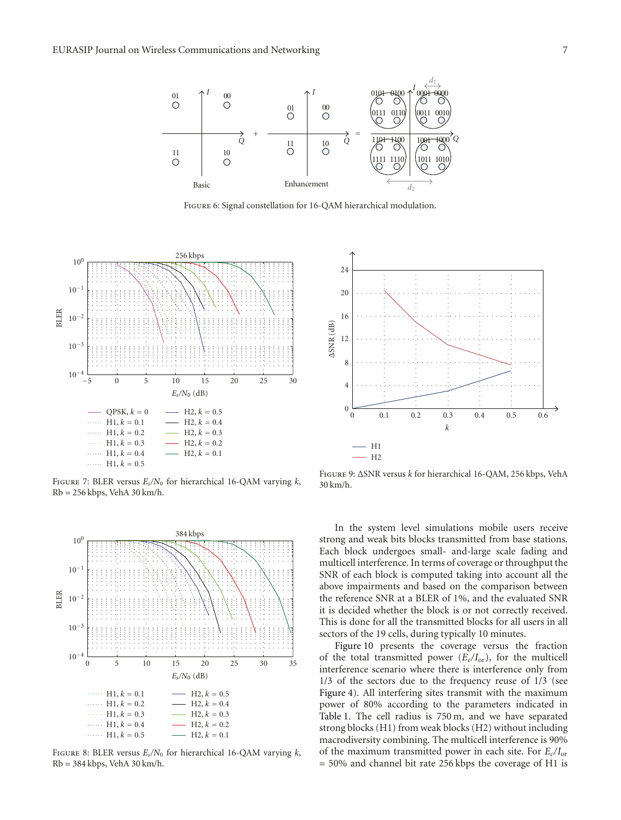

Figure 6: Signal constellation for 16-QAM hierarchical modulation.



Figure 7: BLER versus *Es/N*<sup>0</sup> for hierarchical 16-QAM varying *k*, Rb = 256 kbps, VehA 30 km/h.



Figure 8: BLER versus *Es/N*<sup>0</sup> for hierarchical 16-QAM varying *k*, Rb = 384 kbps, VehA 30 km/h.



Figure 9: ΔSNR versus *k* for hierarchical 16-QAM, 256 kbps, VehA 30 km/h.

In the system level simulations mobile users receive strong and weak bits blocks transmitted from base stations. Each block undergoes small- and-large scale fading and multicell interference. In terms of coverage or throughput the SNR of each block is computed taking into account all the above impairments and based on the comparison between the reference SNR at a BLER of 1%, and the evaluated SNR it is decided whether the block is or not correctly received. This is done for all the transmitted blocks for all users in all sectors of the 19 cells, during typically 10 minutes.

Figure 10 presents the coverage versus the fraction of the total transmitted power (*Ec/I*or), for the multicell interference scenario where there is interference only from 1/3 of the sectors due to the frequency reuse of 1/3 (see Figure 4). All interfering sites transmit with the maximum power of 80% according to the parameters indicated in Table 1. The cell radius is 750 m, and we have separated strong blocks (H1) from weak blocks (H2) without including macrodiversity combining. The multicell interference is 90% of the maximum transmitted power in each site. For *Ec/I*or = 50% and channel bit rate 256 kbps the coverage of H1 is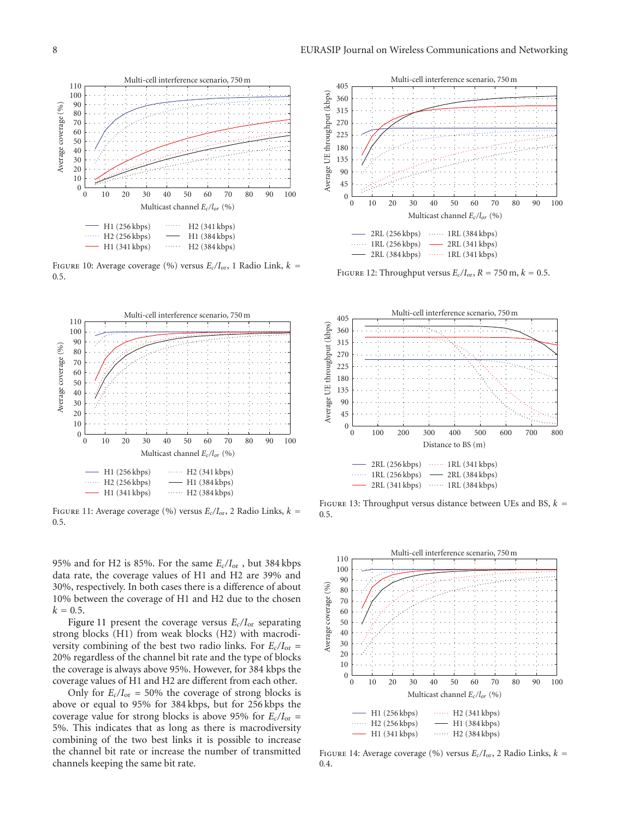

Figure 10: Average coverage (%) versus *Ec/I*or, 1 Radio Link, *k* = 0*.*5.



Figure 11: Average coverage (%) versus *Ec/I*or, 2 Radio Links, *k* = 0*.*5.

95% and for H2 is 85%. For the same *Ec/I*or , but 384 kbps data rate, the coverage values of H1 and H2 are 39% and 30%, respectively. In both cases there is a difference of about 10% between the coverage of H1 and H2 due to the chosen  $k = 0.5$ .

Figure 11 present the coverage versus  $E_c/I_{\text{or}}$  separating strong blocks (H1) from weak blocks (H2) with macrodiversity combining of the best two radio links. For  $E_c/I_{or}$  = 20% regardless of the channel bit rate and the type of blocks the coverage is always above 95%. However, for 384 kbps the coverage values of H1 and H2 are different from each other.

Only for  $E_c/I_{or} = 50\%$  the coverage of strong blocks is above or equal to 95% for 384 kbps, but for 256 kbps the coverage value for strong blocks is above 95% for  $E_c/I_{or}$  = 5%. This indicates that as long as there is macrodiversity combining of the two best links it is possible to increase the channel bit rate or increase the number of transmitted channels keeping the same bit rate.



FIGURE 12: Throughput versus  $E_c/I_{\text{or}}, R = 750 \text{ m}, k = 0.5$ .



FIGURE 13: Throughput versus distance between UEs and BS,  $k =$ 0*.*5.



Figure 14: Average coverage (%) versus *Ec/I*or, 2 Radio Links, *k* = 0*.*4.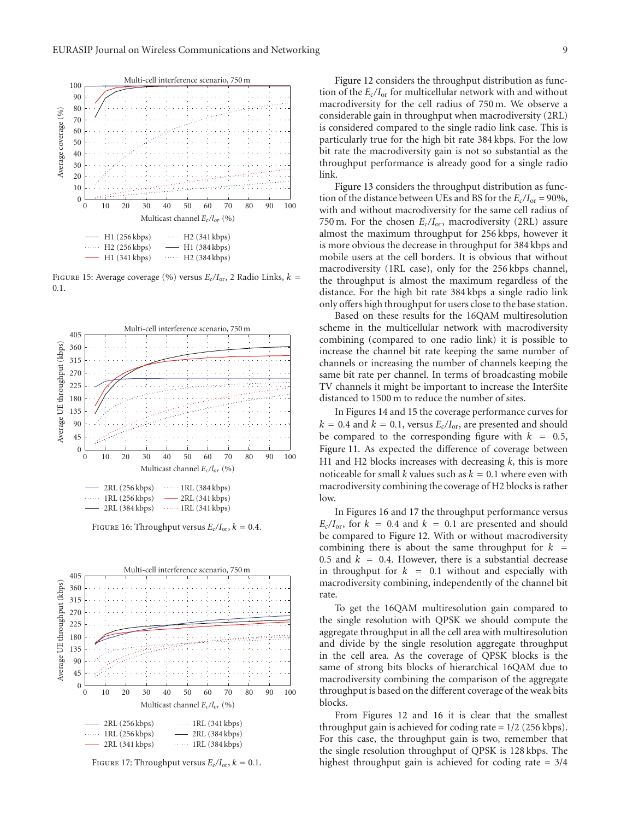

Figure 15: Average coverage (%) versus *Ec/I*or, 2 Radio Links, *k* = 0*.*1.



FIGURE 16: Throughput versus  $E_c/I_{\text{or}}$ ,  $k = 0.4$ .



FIGURE 17: Throughput versus  $E_c/I_{\text{or}}$ ,  $k = 0.1$ .

Figure 12 considers the throughput distribution as function of the *Ec/I*or for multicellular network with and without macrodiversity for the cell radius of 750 m. We observe a considerable gain in throughput when macrodiversity (2RL) is considered compared to the single radio link case. This is particularly true for the high bit rate 384 kbps. For the low bit rate the macrodiversity gain is not so substantial as the throughput performance is already good for a single radio link.

Figure 13 considers the throughput distribution as function of the distance between UEs and BS for the  $E_c/I_{or} = 90\%$ , with and without macrodiversity for the same cell radius of 750 m. For the chosen *Ec/I*or, macrodiversity (2RL) assure almost the maximum throughput for 256 kbps, however it is more obvious the decrease in throughput for 384 kbps and mobile users at the cell borders. It is obvious that without macrodiversity (1RL case), only for the 256 kbps channel, the throughput is almost the maximum regardless of the distance. For the high bit rate 384 kbps a single radio link only offers high throughput for users close to the base station.

Based on these results for the 16QAM multiresolution scheme in the multicellular network with macrodiversity combining (compared to one radio link) it is possible to increase the channel bit rate keeping the same number of channels or increasing the number of channels keeping the same bit rate per channel. In terms of broadcasting mobile TV channels it might be important to increase the InterSite distanced to 1500 m to reduce the number of sites.

In Figures 14 and 15 the coverage performance curves for  $k = 0.4$  and  $k = 0.1$ , versus  $E_c/I_{\text{or}}$ , are presented and should be compared to the corresponding figure with  $k = 0.5$ , Figure 11. As expected the difference of coverage between H1 and H2 blocks increases with decreasing *k*, this is more noticeable for small *k* values such as  $k = 0.1$  where even with macrodiversity combining the coverage of H2 blocks is rather low.

In Figures 16 and 17 the throughput performance versus  $E_c/I_{\text{or}}$ , for  $k = 0.4$  and  $k = 0.1$  are presented and should be compared to Figure 12. With or without macrodiversity combining there is about the same throughput for  $k =$ 0.5 and  $k = 0.4$ . However, there is a substantial decrease in throughput for  $k = 0.1$  without and especially with macrodiversity combining, independently of the channel bit rate.

To get the 16QAM multiresolution gain compared to the single resolution with QPSK we should compute the aggregate throughput in all the cell area with multiresolution and divide by the single resolution aggregate throughput in the cell area. As the coverage of QPSK blocks is the same of strong bits blocks of hierarchical 16QAM due to macrodiversity combining the comparison of the aggregate throughput is based on the different coverage of the weak bits blocks.

From Figures 12 and 16 it is clear that the smallest throughput gain is achieved for coding rate = 1/2 (256 kbps). For this case, the throughput gain is two, remember that the single resolution throughput of QPSK is 128 kbps. The highest throughput gain is achieved for coding rate = 3/4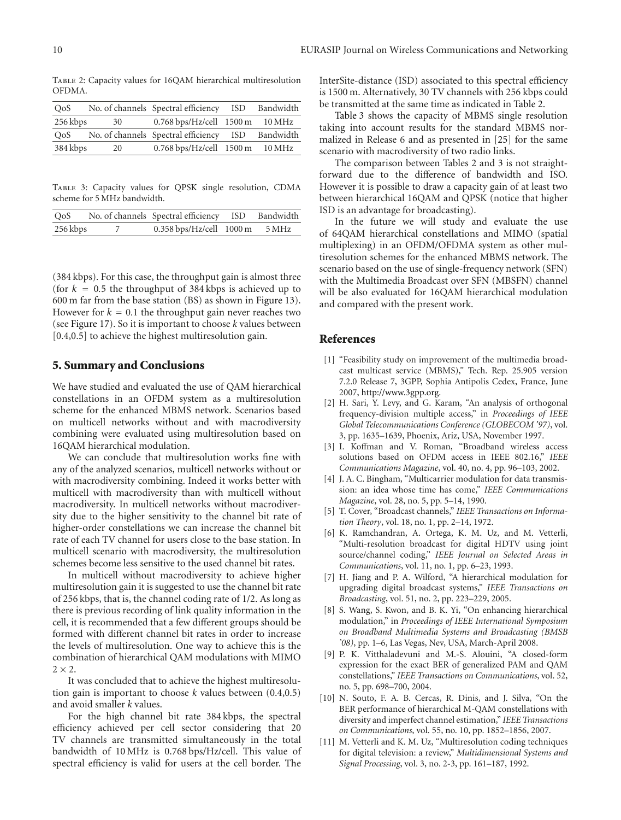Table 2: Capacity values for 16QAM hierarchical multiresolution OFDMA.

| O <sub>0</sub> S |    | No. of channels Spectral efficiency ISD | Bandwidth |
|------------------|----|-----------------------------------------|-----------|
| 256 kbps         | 30 | $0.768$ bps/Hz/cell $1500$ m $10$ MHz   |           |
| O <sub>0</sub> S |    | No. of channels Spectral efficiency ISD | Bandwidth |
| 384 kbps         | 20 | $0.768$ bps/Hz/cell 1500 m              | 10 MHz    |
|                  |    |                                         |           |

Table 3: Capacity values for QPSK single resolution, CDMA scheme for 5 MHz bandwidth.

| O <sub>0</sub> S | No. of channels Spectral efficiency ISD Bandwidth |  |
|------------------|---------------------------------------------------|--|
| 256 kbps         | 0.358 bps/Hz/cell 1000 m 5 MHz                    |  |

(384 kbps). For this case, the throughput gain is almost three (for  $k = 0.5$  the throughput of 384 kbps is achieved up to 600 m far from the base station (BS) as shown in Figure 13). However for  $k = 0.1$  the throughput gain never reaches two (see Figure 17). So it is important to choose *k* values between [0.4,0.5] to achieve the highest multiresolution gain.

# **5. Summary and Conclusions**

We have studied and evaluated the use of QAM hierarchical constellations in an OFDM system as a multiresolution scheme for the enhanced MBMS network. Scenarios based on multicell networks without and with macrodiversity combining were evaluated using multiresolution based on 16QAM hierarchical modulation.

We can conclude that multiresolution works fine with any of the analyzed scenarios, multicell networks without or with macrodiversity combining. Indeed it works better with multicell with macrodiversity than with multicell without macrodiversity. In multicell networks without macrodiversity due to the higher sensitivity to the channel bit rate of higher-order constellations we can increase the channel bit rate of each TV channel for users close to the base station. In multicell scenario with macrodiversity, the multiresolution schemes become less sensitive to the used channel bit rates.

In multicell without macrodiversity to achieve higher multiresolution gain it is suggested to use the channel bit rate of 256 kbps, that is, the channel coding rate of 1/2. As long as there is previous recording of link quality information in the cell, it is recommended that a few different groups should be formed with different channel bit rates in order to increase the levels of multiresolution. One way to achieve this is the combination of hierarchical QAM modulations with MIMO  $2 \times 2$ .

It was concluded that to achieve the highest multiresolution gain is important to choose *k* values between (0.4,0.5) and avoid smaller *k* values.

For the high channel bit rate 384 kbps, the spectral efficiency achieved per cell sector considering that 20 TV channels are transmitted simultaneously in the total bandwidth of 10 MHz is 0.768 bps/Hz/cell. This value of spectral efficiency is valid for users at the cell border. The

InterSite-distance (ISD) associated to this spectral efficiency is 1500 m. Alternatively, 30 TV channels with 256 kbps could be transmitted at the same time as indicated in Table 2.

Table 3 shows the capacity of MBMS single resolution taking into account results for the standard MBMS normalized in Release 6 and as presented in [25] for the same scenario with macrodiversity of two radio links.

The comparison between Tables 2 and 3 is not straightforward due to the difference of bandwidth and ISO. However it is possible to draw a capacity gain of at least two between hierarchical 16QAM and QPSK (notice that higher ISD is an advantage for broadcasting).

In the future we will study and evaluate the use of 64QAM hierarchical constellations and MIMO (spatial multiplexing) in an OFDM/OFDMA system as other multiresolution schemes for the enhanced MBMS network. The scenario based on the use of single-frequency network (SFN) with the Multimedia Broadcast over SFN (MBSFN) channel will be also evaluated for 16OAM hierarchical modulation and compared with the present work.

#### **References**

- [1] "Feasibility study on improvement of the multimedia broadcast multicast service (MBMS)," Tech. Rep. 25.905 version 7.2.0 Release 7, 3GPP, Sophia Antipolis Cedex, France, June 2007, http://www.3gpp.org.
- [2] H. Sari, Y. Levy, and G. Karam, "An analysis of orthogonal frequency-division multiple access," in *Proceedings of IEEE Global Telecommunications Conference (GLOBECOM '97)*, vol. 3, pp. 1635–1639, Phoenix, Ariz, USA, November 1997.
- [3] I. Koffman and V. Roman, "Broadband wireless access solutions based on OFDM access in IEEE 802.16," *IEEE Communications Magazine*, vol. 40, no. 4, pp. 96–103, 2002.
- [4] J. A. C. Bingham, "Multicarrier modulation for data transmission: an idea whose time has come," *IEEE Communications Magazine*, vol. 28, no. 5, pp. 5–14, 1990.
- [5] T. Cover, "Broadcast channels," *IEEE Transactions on Information Theory*, vol. 18, no. 1, pp. 2–14, 1972.
- [6] K. Ramchandran, A. Ortega, K. M. Uz, and M. Vetterli, "Multi-resolution broadcast for digital HDTV using joint source/channel coding," *IEEE Journal on Selected Areas in Communications*, vol. 11, no. 1, pp. 6–23, 1993.
- [7] H. Jiang and P. A. Wilford, "A hierarchical modulation for upgrading digital broadcast systems," *IEEE Transactions on Broadcasting*, vol. 51, no. 2, pp. 223–229, 2005.
- [8] S. Wang, S. Kwon, and B. K. Yi, "On enhancing hierarchical modulation," in *Proceedings of IEEE International Symposium on Broadband Multimedia Systems and Broadcasting (BMSB '08)*, pp. 1–6, Las Vegas, Nev, USA, March-April 2008.
- [9] P. K. Vitthaladevuni and M.-S. Alouini, "A closed-form expression for the exact BER of generalized PAM and QAM constellations," *IEEE Transactions on Communications*, vol. 52, no. 5, pp. 698–700, 2004.
- [10] N. Souto, F. A. B. Cercas, R. Dinis, and J. Silva, "On the BER performance of hierarchical M-QAM constellations with diversity and imperfect channel estimation," *IEEE Transactions on Communications*, vol. 55, no. 10, pp. 1852–1856, 2007.
- [11] M. Vetterli and K. M. Uz, "Multiresolution coding techniques for digital television: a review," *Multidimensional Systems and Signal Processing*, vol. 3, no. 2-3, pp. 161–187, 1992.